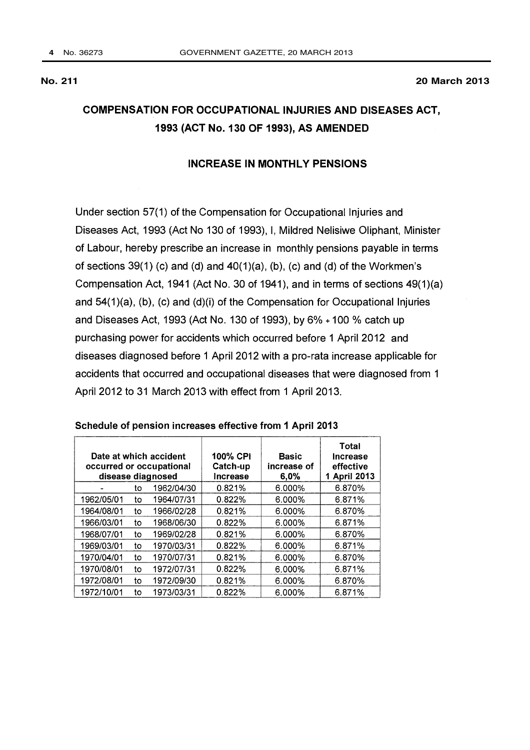#### INCREASE IN MONTHLY PENSIONS

Under section 57(1) of the Compensation for Occupational Injuries and Diseases Act, 1993 (Act No 130 of 1993), I, Mildred Nelisiwe Oliphant, Minister of Labour, hereby prescribe an increase in monthly pensions payable in terms of sections  $39(1)$  (c) and (d) and  $40(1)(a)$ , (b), (c) and (d) of the Workmen's Compensation Act, 1941 (Act No. 30 of 1941), and in terms of sections 49(1)(a) and 54(1)(a), (b), (c) and (d)(i) of the Compensation for Occupational Injuries and Diseases Act, 1993 (Act No. 130 of 1993), by 6% + 100 % catch up purchasing power for accidents which occurred before 1 April 2012 and diseases diagnosed before 1 April 2012 with a pro-rata increase applicable for accidents that occurred and occupational diseases that were diagnosed from 1 April 2012 to 31 March 2013 with effect from 1 April 2013.

| Date at which accident<br>occurred or occupational<br>disease diagnosed |    | <b>100% CPI</b><br>Catch-up<br>Increase | <b>Basic</b><br>increase of<br>6,0% | Total<br>Increase<br>effective<br>1 April 2013 |        |
|-------------------------------------------------------------------------|----|-----------------------------------------|-------------------------------------|------------------------------------------------|--------|
|                                                                         | to | 1962/04/30                              | 0.821%                              | $6.000\%$                                      | 6.870% |
| 1962/05/01                                                              | to | 1964/07/31                              | 0.822%                              | $6.000\%$                                      | 6.871% |
| 1964/08/01                                                              | to | 1966/02/28                              | 0.821%                              | $6.000\%$                                      | 6.870% |
| 1966/03/01                                                              | to | 1968/06/30                              | 0.822%                              | $6.000\%$                                      | 6.871% |
| 1968/07/01                                                              | to | 1969/02/28                              | 0.821%                              | $6.000\%$                                      | 6.870% |
| 1969/03/01                                                              | to | 1970/03/31                              | 0.822%                              | $6.000\%$                                      | 6.871% |
| 1970/04/01                                                              | to | 1970/07/31                              | 0.821%                              | 6.000%                                         | 6.870% |
| 1970/08/01                                                              | to | 1972/07/31                              | 0.822%                              | $6.000\%$                                      | 6.871% |
| 1972/08/01                                                              | to | 1972/09/30                              | 0.821%                              | $6.000\%$                                      | 6.870% |
| 1972/10/01                                                              | to | 1973/03/31                              | 0.822%                              | $6.000\%$                                      | 6.871% |

#### Schedule of pension increases effective from 1 April 2013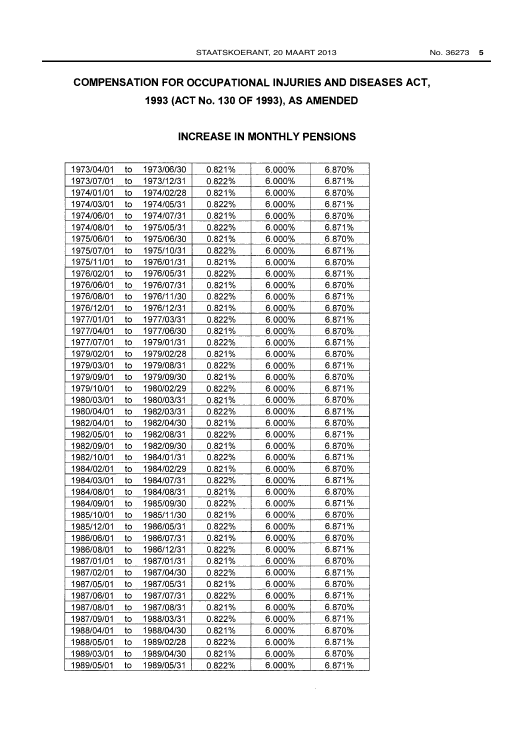#### INCREASE IN MONTHLY PENSIONS

| 1973/04/01 | to | 1973/06/30 | 0.821% | 6.000% | 6.870% |
|------------|----|------------|--------|--------|--------|
| 1973/07/01 | to | 1973/12/31 | 0.822% | 6.000% | 6.871% |
| 1974/01/01 | to | 1974/02/28 | 0.821% | 6.000% | 6.870% |
| 1974/03/01 | to | 1974/05/31 | 0.822% | 6.000% | 6.871% |
| 1974/06/01 | to | 1974/07/31 | 0.821% | 6.000% | 6.870% |
| 1974/08/01 | to | 1975/05/31 | 0.822% | 6.000% | 6.871% |
| 1975/06/01 | to | 1975/06/30 | 0.821% | 6.000% | 6.870% |
| 1975/07/01 | to | 1975/10/31 | 0.822% | 6.000% | 6.871% |
| 1975/11/01 | to | 1976/01/31 | 0.821% | 6.000% | 6.870% |
| 1976/02/01 | to | 1976/05/31 | 0.822% | 6.000% | 6.871% |
| 1976/06/01 | to | 1976/07/31 | 0.821% | 6.000% | 6.870% |
| 1976/08/01 | to | 1976/11/30 | 0.822% | 6.000% | 6.871% |
| 1976/12/01 | to | 1976/12/31 | 0.821% | 6.000% | 6.870% |
| 1977/01/01 | to | 1977/03/31 | 0.822% | 6.000% | 6.871% |
| 1977/04/01 | to | 1977/06/30 | 0.821% | 6.000% | 6.870% |
| 1977/07/01 | to | 1979/01/31 | 0.822% | 6.000% | 6.871% |
| 1979/02/01 | to | 1979/02/28 | 0.821% | 6.000% | 6.870% |
| 1979/03/01 | to | 1979/08/31 | 0.822% | 6.000% | 6.871% |
| 1979/09/01 | to | 1979/09/30 | 0.821% | 6.000% | 6.870% |
| 1979/10/01 | to | 1980/02/29 | 0.822% | 6.000% | 6.871% |
| 1980/03/01 | to | 1980/03/31 | 0.821% | 6.000% | 6.870% |
| 1980/04/01 | to | 1982/03/31 | 0.822% | 6.000% | 6.871% |
| 1982/04/01 | to | 1982/04/30 | 0.821% | 6.000% | 6.870% |
| 1982/05/01 | to | 1982/08/31 | 0.822% | 6.000% | 6.871% |
| 1982/09/01 | to | 1982/09/30 | 0.821% | 6.000% | 6.870% |
| 1982/10/01 | to | 1984/01/31 | 0.822% | 6.000% | 6.871% |
| 1984/02/01 | to | 1984/02/29 | 0.821% | 6.000% | 6.870% |
| 1984/03/01 | to | 1984/07/31 | 0.822% | 6.000% | 6.871% |
| 1984/08/01 | to | 1984/08/31 | 0.821% | 6.000% | 6.870% |
| 1984/09/01 | to | 1985/09/30 | 0.822% | 6.000% | 6.871% |
| 1985/10/01 | to | 1985/11/30 | 0.821% | 6.000% | 6.870% |
| 1985/12/01 | to | 1986/05/31 | 0.822% | 6.000% | 6.871% |
| 1986/06/01 | to | 1986/07/31 | 0.821% | 6.000% | 6.870% |
| 1986/08/01 | to | 1986/12/31 | 0.822% | 6.000% | 6.871% |
| 1987/01/01 | to | 1987/01/31 | 0.821% | 6.000% | 6.870% |
| 1987/02/01 | to | 1987/04/30 | 0.822% | 6.000% | 6.871% |
| 1987/05/01 | to | 1987/05/31 | 0.821% | 6.000% | 6.870% |
| 1987/06/01 | to | 1987/07/31 | 0.822% | 6.000% | 6.871% |
| 1987/08/01 | to | 1987/08/31 | 0.821% | 6.000% | 6.870% |
| 1987/09/01 | to | 1988/03/31 | 0.822% | 6.000% | 6.871% |
| 1988/04/01 | to | 1988/04/30 | 0.821% | 6.000% | 6.870% |
| 1988/05/01 | to | 1989/02/28 | 0.822% | 6.000% | 6.871% |
| 1989/03/01 | to | 1989/04/30 | 0.821% | 6.000% | 6.870% |
| 1989/05/01 | to | 1989/05/31 | 0.822% | 6.000% | 6.871% |
|            |    |            |        |        |        |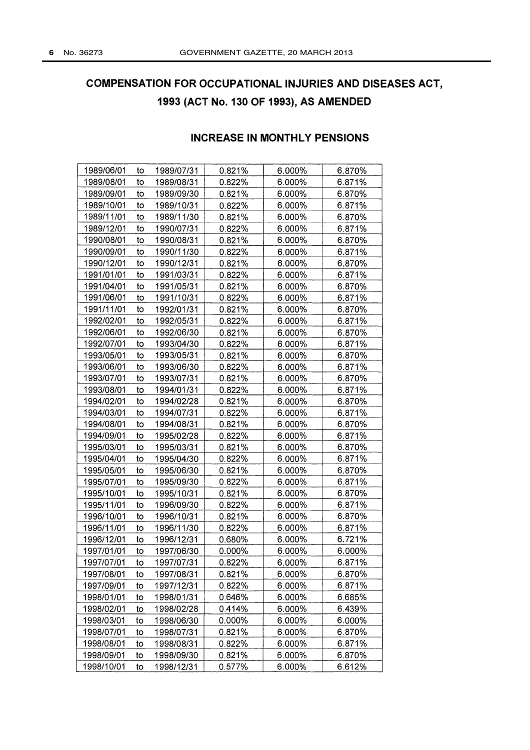### INCREASE IN MONTHLY PENSIONS

| 1989/06/01 | to | 1989/07/31 | 0.821% | 6.000% | 6.870% |
|------------|----|------------|--------|--------|--------|
| 1989/08/01 | to | 1989/08/31 | 0.822% | 6.000% | 6.871% |
| 1989/09/01 | to | 1989/09/30 | 0.821% | 6.000% | 6.870% |
| 1989/10/01 | to | 1989/10/31 | 0.822% | 6.000% | 6.871% |
| 1989/11/01 | to | 1989/11/30 | 0.821% | 6.000% | 6.870% |
| 1989/12/01 | to | 1990/07/31 | 0.822% | 6.000% | 6.871% |
| 1990/08/01 | to | 1990/08/31 | 0.821% | 6.000% | 6.870% |
| 1990/09/01 | to | 1990/11/30 | 0.822% | 6.000% | 6.871% |
| 1990/12/01 | to | 1990/12/31 | 0.821% | 6.000% | 6.870% |
| 1991/01/01 | to | 1991/03/31 | 0.822% | 6.000% | 6.871% |
| 1991/04/01 | to | 1991/05/31 | 0.821% | 6.000% | 6.870% |
| 1991/06/01 | to | 1991/10/31 | 0.822% | 6.000% | 6.871% |
| 1991/11/01 | to | 1992/01/31 | 0.821% | 6.000% | 6.870% |
| 1992/02/01 | to | 1992/05/31 | 0.822% | 6.000% | 6.871% |
| 1992/06/01 | to | 1992/06/30 | 0.821% | 6.000% | 6.870% |
| 1992/07/01 | to | 1993/04/30 | 0.822% | 6.000% | 6.871% |
| 1993/05/01 | to | 1993/05/31 | 0.821% | 6.000% | 6.870% |
| 1993/06/01 | to | 1993/06/30 | 0.822% | 6.000% | 6.871% |
| 1993/07/01 | to | 1993/07/31 | 0.821% | 6.000% | 6.870% |
| 1993/08/01 | to | 1994/01/31 | 0.822% | 6.000% | 6.871% |
| 1994/02/01 | to | 1994/02/28 | 0.821% | 6.000% | 6.870% |
| 1994/03/01 | to | 1994/07/31 | 0.822% | 6.000% | 6.871% |
| 1994/08/01 | to | 1994/08/31 | 0.821% | 6.000% | 6.870% |
| 1994/09/01 | to | 1995/02/28 | 0.822% | 6.000% | 6.871% |
| 1995/03/01 | to | 1995/03/31 | 0.821% | 6.000% | 6.870% |
| 1995/04/01 | to | 1995/04/30 | 0.822% | 6.000% | 6.871% |
| 1995/05/01 | to | 1995/06/30 | 0.821% | 6.000% | 6.870% |
| 1995/07/01 | to | 1995/09/30 | 0.822% | 6.000% | 6.871% |
| 1995/10/01 | to | 1995/10/31 | 0.821% | 6.000% | 6.870% |
| 1995/11/01 | to | 1996/09/30 | 0.822% | 6.000% | 6.871% |
| 1996/10/01 | to | 1996/10/31 | 0.821% | 6.000% | 6.870% |
| 1996/11/01 | to | 1996/11/30 | 0.822% | 6.000% | 6.871% |
| 1996/12/01 | to | 1996/12/31 | 0.680% | 6.000% | 6.721% |
| 1997/01/01 | to | 1997/06/30 | 0.000% | 6.000% | 6.000% |
| 1997/07/01 | to | 1997/07/31 | 0.822% | 6.000% | 6.871% |
| 1997/08/01 | to | 1997/08/31 | 0.821% | 6.000% | 6.870% |
| 1997/09/01 | to | 1997/12/31 | 0.822% | 6.000% | 6.871% |
| 1998/01/01 | to | 1998/01/31 | 0.646% | 6.000% | 6.685% |
| 1998/02/01 | to | 1998/02/28 | 0.414% | 6.000% | 6.439% |
| 1998/03/01 | to | 1998/06/30 | 0.000% | 6.000% | 6.000% |
| 1998/07/01 | to | 1998/07/31 | 0.821% | 6.000% | 6.870% |
| 1998/08/01 | to | 1998/08/31 | 0.822% | 6.000% | 6.871% |
| 1998/09/01 | to | 1998/09/30 | 0.821% | 6.000% | 6.870% |
| 1998/10/01 | to | 1998/12/31 | 0.577% | 6.000% | 6.612% |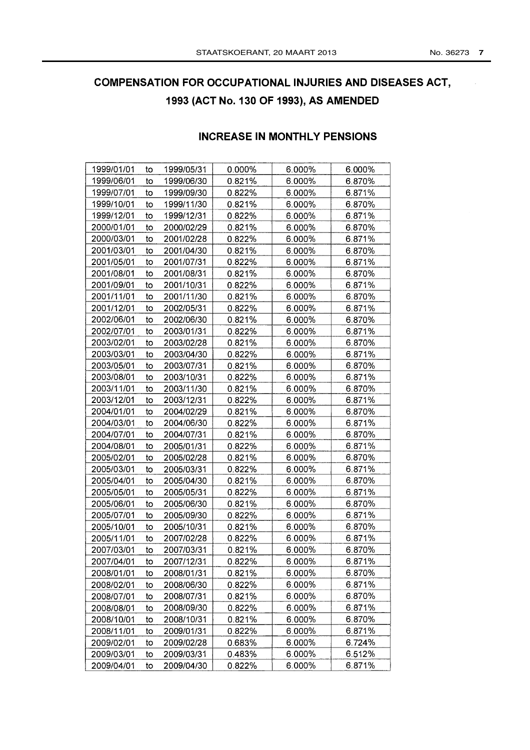## INCREASE IN MONTHLY PENSIONS

| 1999/01/01 | to | 1999/05/31 | 0.000% | 6.000% | 6.000% |
|------------|----|------------|--------|--------|--------|
| 1999/06/01 | to | 1999/06/30 | 0.821% | 6.000% | 6.870% |
| 1999/07/01 | to | 1999/09/30 | 0.822% | 6.000% | 6.871% |
| 1999/10/01 | to | 1999/11/30 | 0.821% | 6.000% | 6.870% |
| 1999/12/01 | to | 1999/12/31 | 0.822% | 6.000% | 6.871% |
| 2000/01/01 | to | 2000/02/29 | 0.821% | 6.000% | 6.870% |
| 2000/03/01 | to | 2001/02/28 | 0.822% | 6.000% | 6.871% |
| 2001/03/01 | to | 2001/04/30 | 0.821% | 6.000% | 6.870% |
| 2001/05/01 | to | 2001/07/31 | 0.822% | 6.000% | 6.871% |
| 2001/08/01 | to | 2001/08/31 | 0.821% | 6.000% | 6.870% |
| 2001/09/01 | to | 2001/10/31 | 0.822% | 6.000% | 6.871% |
| 2001/11/01 | to | 2001/11/30 | 0.821% | 6.000% | 6.870% |
| 2001/12/01 | to | 2002/05/31 | 0.822% | 6.000% | 6.871% |
| 2002/06/01 | to | 2002/06/30 | 0.821% | 6.000% | 6.870% |
| 2002/07/01 | to | 2003/01/31 | 0.822% | 6.000% | 6.871% |
| 2003/02/01 | to | 2003/02/28 | 0.821% | 6.000% | 6.870% |
| 2003/03/01 | to | 2003/04/30 | 0.822% | 6.000% | 6.871% |
| 2003/05/01 | to | 2003/07/31 | 0.821% | 6.000% | 6.870% |
| 2003/08/01 | to | 2003/10/31 | 0.822% | 6.000% | 6.871% |
| 2003/11/01 | to | 2003/11/30 | 0.821% | 6.000% | 6.870% |
| 2003/12/01 | to | 2003/12/31 | 0.822% | 6.000% | 6.871% |
| 2004/01/01 | to | 2004/02/29 | 0.821% | 6.000% | 6.870% |
| 2004/03/01 | to | 2004/06/30 | 0.822% | 6.000% | 6.871% |
| 2004/07/01 | to | 2004/07/31 | 0.821% | 6.000% | 6.870% |
| 2004/08/01 | to | 2005/01/31 | 0.822% | 6.000% | 6.871% |
| 2005/02/01 | to | 2005/02/28 | 0.821% | 6.000% | 6.870% |
| 2005/03/01 | to | 2005/03/31 | 0.822% | 6.000% | 6.871% |
| 2005/04/01 | to | 2005/04/30 | 0.821% | 6.000% | 6.870% |
| 2005/05/01 | to | 2005/05/31 | 0.822% | 6.000% | 6.871% |
| 2005/06/01 | to | 2005/06/30 | 0.821% | 6.000% | 6.870% |
| 2005/07/01 | to | 2005/09/30 | 0.822% | 6.000% | 6.871% |
| 2005/10/01 | to | 2005/10/31 | 0.821% | 6.000% | 6.870% |
| 2005/11/01 | to | 2007/02/28 | 0.822% | 6.000% | 6.871% |
| 2007/03/01 | to | 2007/03/31 | 0.821% | 6.000% | 6.870% |
| 2007/04/01 | to | 2007/12/31 | 0.822% | 6.000% | 6.871% |
| 2008/01/01 | to | 2008/01/31 | 0.821% | 6.000% | 6.870% |
| 2008/02/01 | to | 2008/06/30 | 0.822% | 6.000% | 6.871% |
| 2008/07/01 | to | 2008/07/31 | 0.821% | 6.000% | 6.870% |
| 2008/08/01 | to | 2008/09/30 | 0.822% | 6.000% | 6.871% |
| 2008/10/01 | to | 2008/10/31 | 0.821% | 6.000% | 6.870% |
| 2008/11/01 | to | 2009/01/31 | 0.822% | 6.000% | 6.871% |
| 2009/02/01 | to | 2009/02/28 | 0.683% | 6.000% | 6.724% |
| 2009/03/01 | to | 2009/03/31 | 0.483% | 6.000% | 6.512% |
| 2009/04/01 | to | 2009/04/30 | 0.822% | 6.000% | 6.871% |